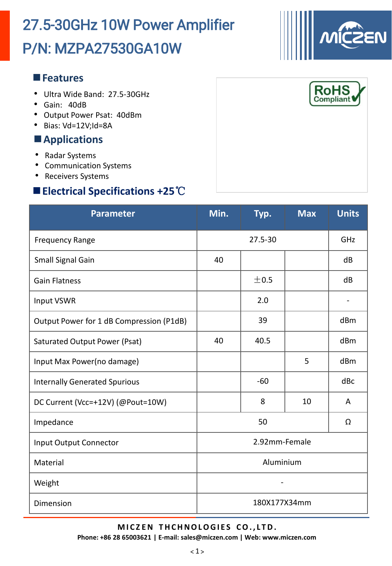# P/N: MZPA27530GA10W 27.5-30GHz 10W Power Amplifier

### **Features**

- Ultra Wide Band: 27.5-30GHz
- Gain: 40dB
- Output Power Psat: 40dBm
- Bias: Vd=12V;Id=8A

### **Applications**

- Radar Systems
- Communication Systems
- Receivers Systems

## **Electrical Specifications +25**℃

| <b>Parameter</b>                         | Min.          | Typ.  | <b>Max</b> | <b>Units</b> |  |
|------------------------------------------|---------------|-------|------------|--------------|--|
| <b>Frequency Range</b>                   | $27.5 - 30$   |       |            | GHZ          |  |
| Small Signal Gain                        | 40            |       |            | dB           |  |
| <b>Gain Flatness</b>                     |               | ±0.5  |            | dB           |  |
| Input VSWR                               |               | 2.0   |            |              |  |
| Output Power for 1 dB Compression (P1dB) |               | 39    |            | dBm          |  |
| Saturated Output Power (Psat)            | 40            | 40.5  |            | dBm          |  |
| Input Max Power(no damage)               |               |       | 5          | dBm          |  |
| <b>Internally Generated Spurious</b>     |               | $-60$ |            | dBc          |  |
| DC Current (Vcc=+12V) (@Pout=10W)        |               | 8     | 10         | A            |  |
| Impedance                                | 50            |       |            | Ω            |  |
| <b>Input Output Connector</b>            | 2.92mm-Female |       |            |              |  |
| Material                                 | Aluminium     |       |            |              |  |
| Weight                                   |               |       |            |              |  |
| Dimension                                | 180X177X34mm  |       |            |              |  |